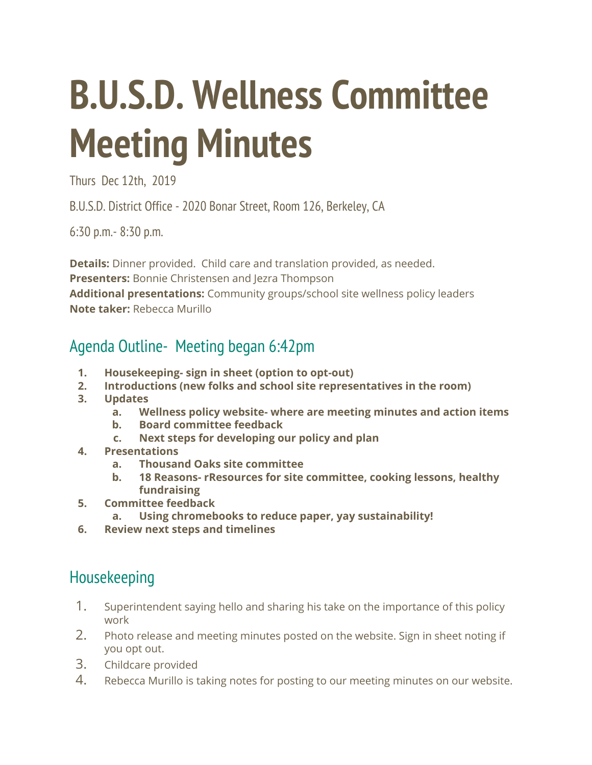# **B.U.S.D. Wellness Committee Meeting Minutes**

Thurs Dec 12th, 2019

B.U.S.D. District Office - 2020 Bonar Street, Room 126, Berkeley, CA

6:30 p.m.- 8:30 p.m.

**Details:** Dinner provided. Child care and translation provided, as needed. **Presenters:** Bonnie Christensen and Jezra Thompson **Additional presentations:** Community groups/school site wellness policy leaders **Note taker:** Rebecca Murillo

## Agenda Outline- Meeting began 6:42pm

- **1. Housekeeping- sign in sheet (option to opt-out)**
- **2. Introductions (new folks and school site representatives in the room)**
- **3. Updates**
	- **a. Wellness policy website- where are meeting minutes and action items**
	- **b. Board committee feedback**
	- **c. Next steps for developing our policy and plan**
- **4. Presentations**
	- **a. Thousand Oaks site committee**
	- **b. 18 Reasons- rResources for site committee, cooking lessons, healthy fundraising**
- **5. Committee feedback**
	- **a. Using chromebooks to reduce paper, yay sustainability!**
- **6. Review next steps and timelines**

## Housekeeping

- 1. Superintendent saying hello and sharing his take on the importance of this policy work
- 2. Photo release and meeting minutes posted on the website. Sign in sheet noting if you opt out.
- 3. Childcare provided
- 4. Rebecca Murillo is taking notes for posting to our meeting minutes on our website.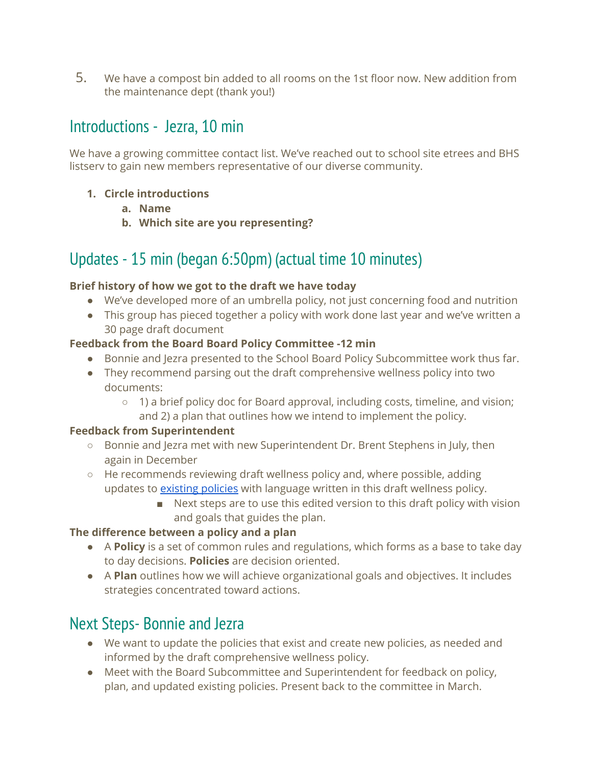5. We have a compost bin added to all rooms on the 1st floor now. New addition from the maintenance dept (thank you!)

## Introductions - Jezra, 10 min

We have a growing committee contact list. We've reached out to school site etrees and BHS listserv to gain new members representative of our diverse community.

- **1. Circle introductions**
	- **a. Name**
	- **b. Which site are you representing?**

# Updates - 15 min (began 6:50pm) (actual time 10 minutes)

#### **Brief history of how we got to the draft we have today**

- We've developed more of an umbrella policy, not just concerning food and nutrition
- This group has pieced together a policy with work done last year and we've written a 30 page draft document

#### **Feedback from the Board Board Policy Committee -12 min**

- Bonnie and Jezra presented to the School Board Policy Subcommittee work thus far.
- They recommend parsing out the draft comprehensive wellness policy into two documents:
	- 1) a brief policy doc for Board approval, including costs, timeline, and vision; and 2) a plan that outlines how we intend to implement the policy.

#### **Feedback from Superintendent**

- Bonnie and Jezra met with new Superintendent Dr. Brent Stephens in July, then again in December
- $\circ$  He recommends reviewing draft wellness policy and, where possible, adding updates to [existing](https://docs.google.com/spreadsheets/d/1LYJX-PbUXCHQgP0eK14M2ldn350O3oNEfsa8ew2ktVU/edit#gid=605774558) policies with language written in this draft wellness policy.
	- Next steps are to use this edited version to this draft policy with vision and goals that guides the plan.

#### **The difference between a policy and a plan**

- A **Policy** is a set of common rules and regulations, which forms as a base to take day to day decisions. **Policies** are decision oriented.
- A **Plan** outlines how we will achieve organizational goals and objectives. It includes strategies concentrated toward actions.

## Next Steps- Bonnie and Jezra

- We want to update the policies that exist and create new policies, as needed and informed by the draft comprehensive wellness policy.
- Meet with the Board Subcommittee and Superintendent for feedback on policy, plan, and updated existing policies. Present back to the committee in March.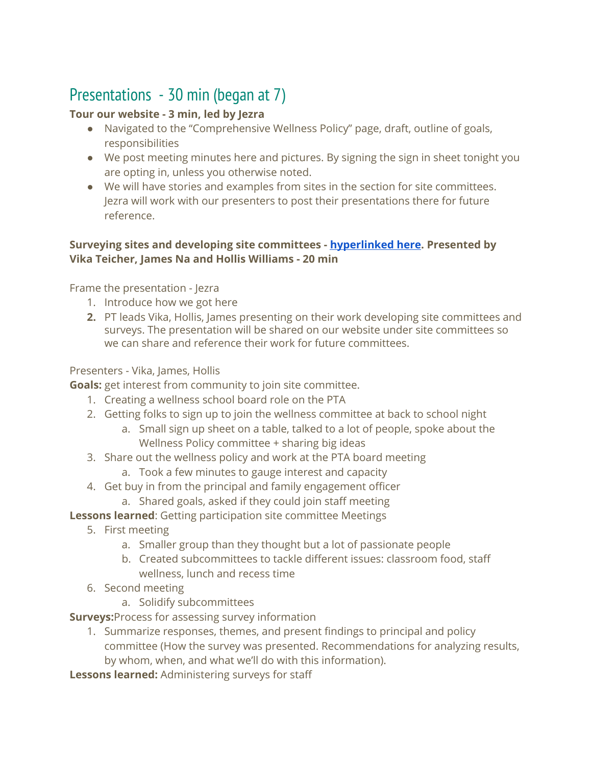# Presentations - 30 min (began at 7)

#### **Tour our website - 3 min, led by Jezra**

- Navigated to the "Comprehensive Wellness Policy" page, draft, outline of goals, responsibilities
- We post meeting minutes here and pictures. By signing the sign in sheet tonight you are opting in, unless you otherwise noted.
- We will have stories and examples from sites in the section for site committees. Jezra will work with our presenters to post their presentations there for future reference.

#### **Surveying sites and developing site committees - [hyperlinked](https://docs.google.com/presentation/d/17AhZssdSgUTvU9FVqp9urCh0g63n_W_fzEzJT12gThw/edit) here. Presented by Vika Teicher, James Na and Hollis Williams - 20 min**

Frame the presentation - Jezra

- 1. Introduce how we got here
- **2.** PT leads Vika, Hollis, James presenting on their work developing site committees and surveys. The presentation will be shared on our website under site committees so we can share and reference their work for future committees.

#### Presenters - Vika, James, Hollis

**Goals:** get interest from community to join site committee.

- 1. Creating a wellness school board role on the PTA
- 2. Getting folks to sign up to join the wellness committee at back to school night
	- a. Small sign up sheet on a table, talked to a lot of people, spoke about the Wellness Policy committee + sharing big ideas
- 3. Share out the wellness policy and work at the PTA board meeting
	- a. Took a few minutes to gauge interest and capacity
- 4. Get buy in from the principal and family engagement officer
	- a. Shared goals, asked if they could join staff meeting

**Lessons learned**: Getting participation site committee Meetings

- 5. First meeting
	- a. Smaller group than they thought but a lot of passionate people
	- b. Created subcommittees to tackle different issues: classroom food, staff wellness, lunch and recess time
- 6. Second meeting
	- a. Solidify subcommittees

**Surveys:**Process for assessing survey information

1. Summarize responses, themes, and present findings to principal and policy committee (How the survey was presented. Recommendations for analyzing results, by whom, when, and what we'll do with this information).

**Lessons learned:** Administering surveys for staff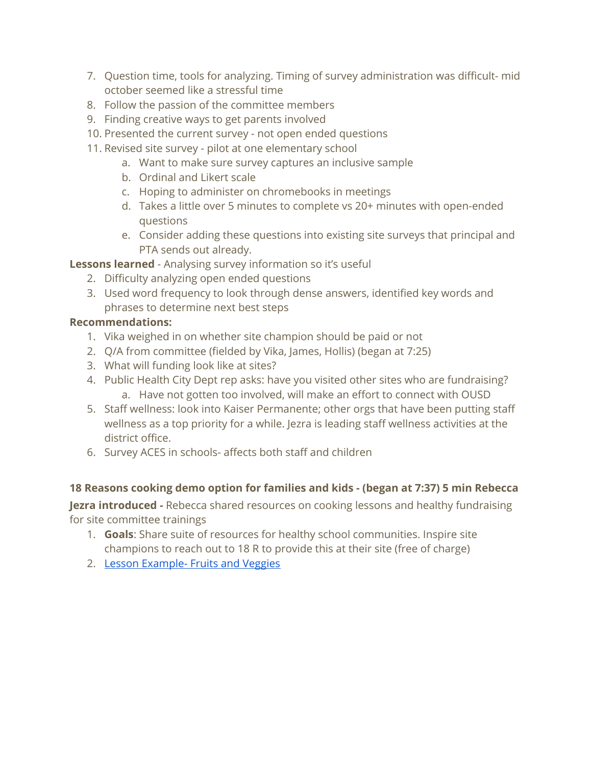- 7. Question time, tools for analyzing. Timing of survey administration was difficult- mid october seemed like a stressful time
- 8. Follow the passion of the committee members
- 9. Finding creative ways to get parents involved
- 10. Presented the current survey not open ended questions
- 11. Revised site survey pilot at one elementary school
	- a. Want to make sure survey captures an inclusive sample
	- b. Ordinal and Likert scale
	- c. Hoping to administer on chromebooks in meetings
	- d. Takes a little over 5 minutes to complete vs 20+ minutes with open-ended questions
	- e. Consider adding these questions into existing site surveys that principal and PTA sends out already.

#### **Lessons learned** - Analysing survey information so it's useful

- 2. Difficulty analyzing open ended questions
- 3. Used word frequency to look through dense answers, identified key words and phrases to determine next best steps

#### **Recommendations:**

- 1. Vika weighed in on whether site champion should be paid or not
- 2. Q/A from committee (fielded by Vika, James, Hollis) (began at 7:25)
- 3. What will funding look like at sites?
- 4. Public Health City Dept rep asks: have you visited other sites who are fundraising? a. Have not gotten too involved, will make an effort to connect with OUSD
- 5. Staff wellness: look into Kaiser Permanente; other orgs that have been putting staff wellness as a top priority for a while. Jezra is leading staff wellness activities at the district office.
- 6. Survey ACES in schools- affects both staff and children

#### **18 Reasons cooking demo option for families and kids - (began at 7:37) 5 min Rebecca**

**Jezra introduced -** Rebecca shared resources on cooking lessons and healthy fundraising for site committee trainings

- 1. **Goals**: Share suite of resources for healthy school communities. Inspire site champions to reach out to 18 R to provide this at their site (free of charge)
- 2. Lesson [Example-](https://drive.google.com/file/d/18Khq3ezcSeT0ec7I9YNGCkFEQ8FC5c1G/view?usp=sharing) Fruits and Veggies